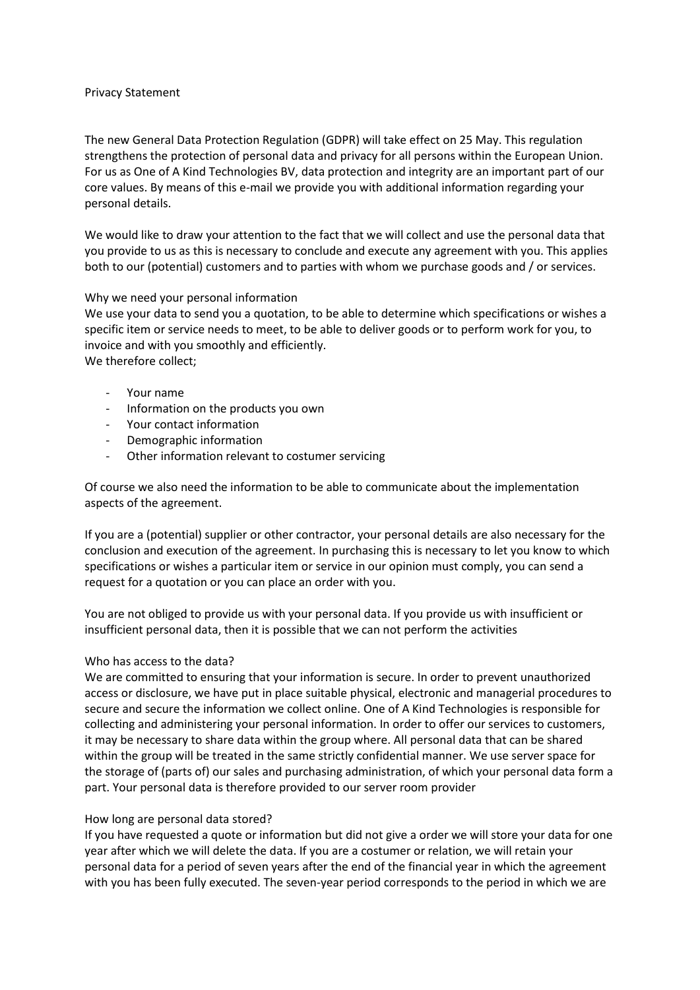## Privacy Statement

The new General Data Protection Regulation (GDPR) will take effect on 25 May. This regulation strengthens the protection of personal data and privacy for all persons within the European Union. For us as One of A Kind Technologies BV, data protection and integrity are an important part of our core values. By means of this e-mail we provide you with additional information regarding your personal details.

We would like to draw your attention to the fact that we will collect and use the personal data that you provide to us as this is necessary to conclude and execute any agreement with you. This applies both to our (potential) customers and to parties with whom we purchase goods and / or services.

## Why we need your personal information

We use your data to send you a quotation, to be able to determine which specifications or wishes a specific item or service needs to meet, to be able to deliver goods or to perform work for you, to invoice and with you smoothly and efficiently.

We therefore collect;

- Your name
- Information on the products you own
- Your contact information
- Demographic information
- Other information relevant to costumer servicing

Of course we also need the information to be able to communicate about the implementation aspects of the agreement.

If you are a (potential) supplier or other contractor, your personal details are also necessary for the conclusion and execution of the agreement. In purchasing this is necessary to let you know to which specifications or wishes a particular item or service in our opinion must comply, you can send a request for a quotation or you can place an order with you.

You are not obliged to provide us with your personal data. If you provide us with insufficient or insufficient personal data, then it is possible that we can not perform the activities

## Who has access to the data?

We are committed to ensuring that your information is secure. In order to prevent unauthorized access or disclosure, we have put in place suitable physical, electronic and managerial procedures to secure and secure the information we collect online. One of A Kind Technologies is responsible for collecting and administering your personal information. In order to offer our services to customers, it may be necessary to share data within the group where. All personal data that can be shared within the group will be treated in the same strictly confidential manner. We use server space for the storage of (parts of) our sales and purchasing administration, of which your personal data form a part. Your personal data is therefore provided to our server room provider

## How long are personal data stored?

If you have requested a quote or information but did not give a order we will store your data for one year after which we will delete the data. If you are a costumer or relation, we will retain your personal data for a period of seven years after the end of the financial year in which the agreement with you has been fully executed. The seven-year period corresponds to the period in which we are